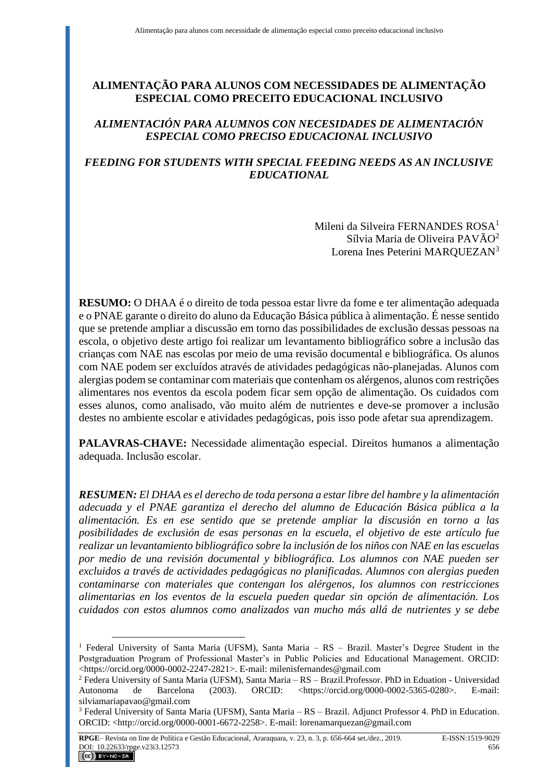# **ALIMENTAÇÃO PARA ALUNOS COM NECESSIDADES DE ALIMENTAÇÃO ESPECIAL COMO PRECEITO EDUCACIONAL INCLUSIVO**

### *ALIMENTACIÓN PARA ALUMNOS CON NECESIDADES DE ALIMENTACIÓN ESPECIAL COMO PRECISO EDUCACIONAL INCLUSIVO*

### *FEEDING FOR STUDENTS WITH SPECIAL FEEDING NEEDS AS AN INCLUSIVE EDUCATIONAL*

Mileni da Silveira FERNANDES ROSA<sup>1</sup> Sílvia Maria de Oliveira PAVÃO<sup>2</sup> Lorena Ines Peterini MARQUEZAN<sup>3</sup>

**RESUMO:** O DHAA é o direito de toda pessoa estar livre da fome e ter alimentação adequada e o PNAE garante o direito do aluno da Educação Básica pública à alimentação. É nesse sentido que se pretende ampliar a discussão em torno das possibilidades de exclusão dessas pessoas na escola, o objetivo deste artigo foi realizar um levantamento bibliográfico sobre a inclusão das crianças com NAE nas escolas por meio de uma revisão documental e bibliográfica. Os alunos com NAE podem ser excluídos através de atividades pedagógicas não-planejadas. Alunos com alergias podem se contaminar com materiais que contenham os alérgenos, alunos com restrições alimentares nos eventos da escola podem ficar sem opção de alimentação. Os cuidados com esses alunos, como analisado, vão muito além de nutrientes e deve-se promover a inclusão destes no ambiente escolar e atividades pedagógicas, pois isso pode afetar sua aprendizagem.

**PALAVRAS-CHAVE:** Necessidade alimentação especial. Direitos humanos a alimentação adequada. Inclusão escolar.

*RESUMEN: El DHAA es el derecho de toda persona a estar libre del hambre y la alimentación adecuada y el PNAE garantiza el derecho del alumno de Educación Básica pública a la alimentación. Es en ese sentido que se pretende ampliar la discusión en torno a las posibilidades de exclusión de esas personas en la escuela, el objetivo de este artículo fue realizar un levantamiento bibliográfico sobre la inclusión de los niños con NAE en las escuelas por medio de una revisión documental y bibliográfica. Los alumnos con NAE pueden ser excluidos a través de actividades pedagógicas no planificadas. Alumnos con alergias pueden contaminarse con materiales que contengan los alérgenos, los alumnos con restricciones alimentarias en los eventos de la escuela pueden quedar sin opción de alimentación. Los cuidados con estos alumnos como analizados van mucho más allá de nutrientes y se debe* 

<sup>&</sup>lt;sup>1</sup> Federal University of Santa Maria (UFSM), Santa Maria - RS - Brazil. Master's Degree Student in the Postgraduation Program of Professional Master's in Public Policies and Educational Management. ORCID: <https://orcid.org/0000-0002-2247-2821>. E-mail: milenisfernandes@gmail.com

<sup>2</sup> Federa University of Santa Maria (UFSM), Santa Maria – RS – Brazil.Professor. PhD in Eduation - Universidad Autonoma de Barcelona (2003). ORCID: <https://orcid.org/0000-0002-5365-0280>. E-mail: silviamariapavao@gmail.com

 $3$  Federal University of Santa Maria (UFSM), Santa Maria – RS – Brazil. Adjunct Professor 4. PhD in Education. ORCID: <http://orcid.org/0000-0001-6672-2258>. E-mail: lorenamarquezan@gmail.com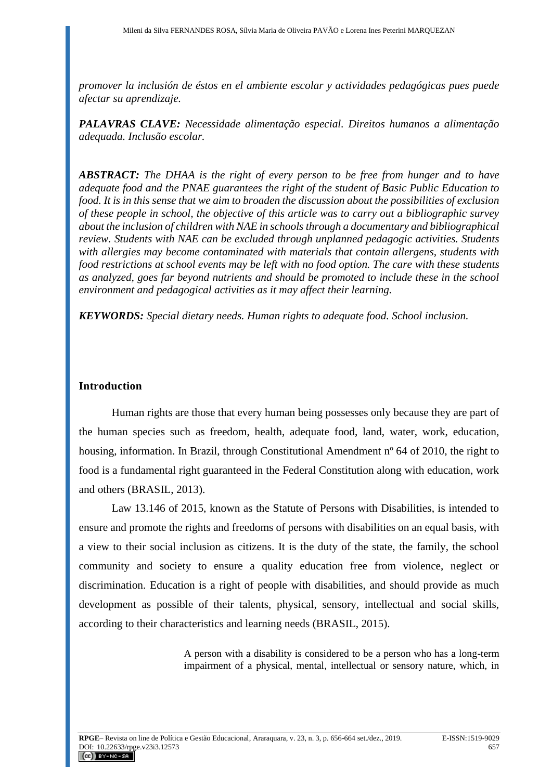*promover la inclusión de éstos en el ambiente escolar y actividades pedagógicas pues puede afectar su aprendizaje.*

*PALAVRAS CLAVE: Necessidade alimentação especial. Direitos humanos a alimentação adequada. Inclusão escolar.*

*ABSTRACT: The DHAA is the right of every person to be free from hunger and to have adequate food and the PNAE guarantees the right of the student of Basic Public Education to food. It is in this sense that we aim to broaden the discussion about the possibilities of exclusion of these people in school, the objective of this article was to carry out a bibliographic survey about the inclusion of children with NAE in schools through a documentary and bibliographical review. Students with NAE can be excluded through unplanned pedagogic activities. Students with allergies may become contaminated with materials that contain allergens, students with food restrictions at school events may be left with no food option. The care with these students as analyzed, goes far beyond nutrients and should be promoted to include these in the school environment and pedagogical activities as it may affect their learning.*

*KEYWORDS: Special dietary needs. Human rights to adequate food. School inclusion.* 

## **Introduction**

Human rights are those that every human being possesses only because they are part of the human species such as freedom, health, adequate food, land, water, work, education, housing, information. In Brazil, through Constitutional Amendment nº 64 of 2010, the right to food is a fundamental right guaranteed in the Federal Constitution along with education, work and others (BRASIL, 2013).

Law 13.146 of 2015, known as the Statute of Persons with Disabilities, is intended to ensure and promote the rights and freedoms of persons with disabilities on an equal basis, with a view to their social inclusion as citizens. It is the duty of the state, the family, the school community and society to ensure a quality education free from violence, neglect or discrimination. Education is a right of people with disabilities, and should provide as much development as possible of their talents, physical, sensory, intellectual and social skills, according to their characteristics and learning needs (BRASIL, 2015).

> A person with a disability is considered to be a person who has a long-term impairment of a physical, mental, intellectual or sensory nature, which, in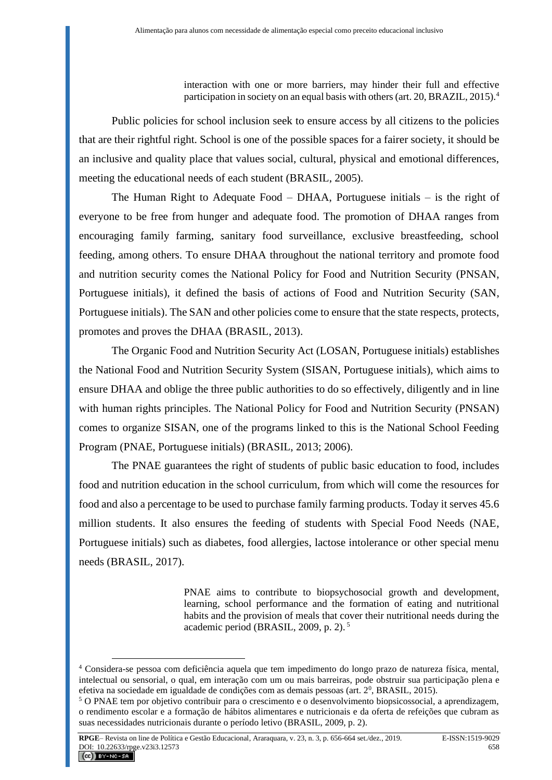interaction with one or more barriers, may hinder their full and effective participation in society on an equal basis with others (art. 20, BRAZIL, 2015).<sup>4</sup>

Public policies for school inclusion seek to ensure access by all citizens to the policies that are their rightful right. School is one of the possible spaces for a fairer society, it should be an inclusive and quality place that values social, cultural, physical and emotional differences, meeting the educational needs of each student (BRASIL, 2005).

The Human Right to Adequate Food – DHAA, Portuguese initials – is the right of everyone to be free from hunger and adequate food. The promotion of DHAA ranges from encouraging family farming, sanitary food surveillance, exclusive breastfeeding, school feeding, among others. To ensure DHAA throughout the national territory and promote food and nutrition security comes the National Policy for Food and Nutrition Security (PNSAN, Portuguese initials), it defined the basis of actions of Food and Nutrition Security (SAN, Portuguese initials). The SAN and other policies come to ensure that the state respects, protects, promotes and proves the DHAA (BRASIL, 2013).

The Organic Food and Nutrition Security Act (LOSAN, Portuguese initials) establishes the National Food and Nutrition Security System (SISAN, Portuguese initials), which aims to ensure DHAA and oblige the three public authorities to do so effectively, diligently and in line with human rights principles. The National Policy for Food and Nutrition Security (PNSAN) comes to organize SISAN, one of the programs linked to this is the National School Feeding Program (PNAE, Portuguese initials) (BRASIL, 2013; 2006).

The PNAE guarantees the right of students of public basic education to food, includes food and nutrition education in the school curriculum, from which will come the resources for food and also a percentage to be used to purchase family farming products. Today it serves 45.6 million students. It also ensures the feeding of students with Special Food Needs (NAE, Portuguese initials) such as diabetes, food allergies, lactose intolerance or other special menu needs (BRASIL, 2017).

> PNAE aims to contribute to biopsychosocial growth and development, learning, school performance and the formation of eating and nutritional habits and the provision of meals that cover their nutritional needs during the academic period (BRASIL, 2009, p. 2). <sup>5</sup>

<sup>4</sup> Considera-se pessoa com deficiência aquela que tem impedimento do longo prazo de natureza física, mental, intelectual ou sensorial, o qual, em interação com um ou mais barreiras, pode obstruir sua participação plena e efetiva na sociedade em igualdade de condições com as demais pessoas (art. 2<sup>0</sup>, BRASIL, 2015).

<sup>5</sup> O PNAE tem por objetivo contribuir para o crescimento e o desenvolvimento biopsicossocial, a aprendizagem, o rendimento escolar e a formação de hábitos alimentares e nutricionais e da oferta de refeições que cubram as suas necessidades nutricionais durante o período letivo (BRASIL, 2009, p. 2).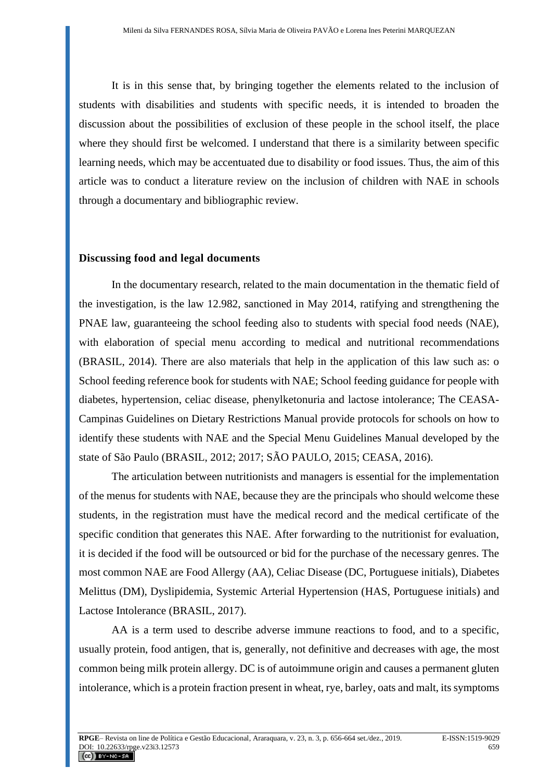It is in this sense that, by bringing together the elements related to the inclusion of students with disabilities and students with specific needs, it is intended to broaden the discussion about the possibilities of exclusion of these people in the school itself, the place where they should first be welcomed. I understand that there is a similarity between specific learning needs, which may be accentuated due to disability or food issues. Thus, the aim of this article was to conduct a literature review on the inclusion of children with NAE in schools through a documentary and bibliographic review.

### **Discussing food and legal documents**

In the documentary research, related to the main documentation in the thematic field of the investigation, is the law 12.982, sanctioned in May 2014, ratifying and strengthening the PNAE law, guaranteeing the school feeding also to students with special food needs (NAE), with elaboration of special menu according to medical and nutritional recommendations (BRASIL, 2014). There are also materials that help in the application of this law such as: o School feeding reference book for students with NAE; School feeding guidance for people with diabetes, hypertension, celiac disease, phenylketonuria and lactose intolerance; The CEASA-Campinas Guidelines on Dietary Restrictions Manual provide protocols for schools on how to identify these students with NAE and the Special Menu Guidelines Manual developed by the state of São Paulo (BRASIL, 2012; 2017; SÃO PAULO, 2015; CEASA, 2016).

The articulation between nutritionists and managers is essential for the implementation of the menus for students with NAE, because they are the principals who should welcome these students, in the registration must have the medical record and the medical certificate of the specific condition that generates this NAE. After forwarding to the nutritionist for evaluation, it is decided if the food will be outsourced or bid for the purchase of the necessary genres. The most common NAE are Food Allergy (AA), Celiac Disease (DC, Portuguese initials), Diabetes Melittus (DM), Dyslipidemia, Systemic Arterial Hypertension (HAS, Portuguese initials) and Lactose Intolerance (BRASIL, 2017).

AA is a term used to describe adverse immune reactions to food, and to a specific, usually protein, food antigen, that is, generally, not definitive and decreases with age, the most common being milk protein allergy. DC is of autoimmune origin and causes a permanent gluten intolerance, which is a protein fraction present in wheat, rye, barley, oats and malt, its symptoms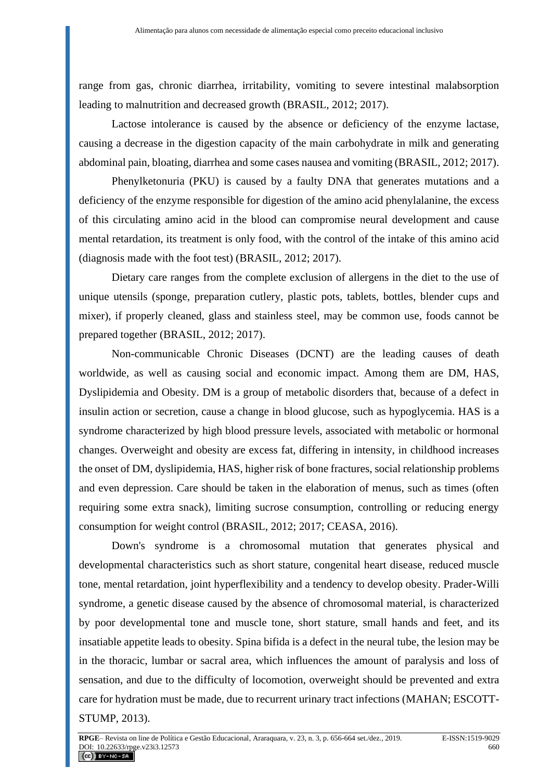range from gas, chronic diarrhea, irritability, vomiting to severe intestinal malabsorption leading to malnutrition and decreased growth (BRASIL, 2012; 2017).

Lactose intolerance is caused by the absence or deficiency of the enzyme lactase, causing a decrease in the digestion capacity of the main carbohydrate in milk and generating abdominal pain, bloating, diarrhea and some cases nausea and vomiting (BRASIL, 2012; 2017).

Phenylketonuria (PKU) is caused by a faulty DNA that generates mutations and a deficiency of the enzyme responsible for digestion of the amino acid phenylalanine, the excess of this circulating amino acid in the blood can compromise neural development and cause mental retardation, its treatment is only food, with the control of the intake of this amino acid (diagnosis made with the foot test) (BRASIL, 2012; 2017).

Dietary care ranges from the complete exclusion of allergens in the diet to the use of unique utensils (sponge, preparation cutlery, plastic pots, tablets, bottles, blender cups and mixer), if properly cleaned, glass and stainless steel, may be common use, foods cannot be prepared together (BRASIL, 2012; 2017).

Non-communicable Chronic Diseases (DCNT) are the leading causes of death worldwide, as well as causing social and economic impact. Among them are DM, HAS, Dyslipidemia and Obesity. DM is a group of metabolic disorders that, because of a defect in insulin action or secretion, cause a change in blood glucose, such as hypoglycemia. HAS is a syndrome characterized by high blood pressure levels, associated with metabolic or hormonal changes. Overweight and obesity are excess fat, differing in intensity, in childhood increases the onset of DM, dyslipidemia, HAS, higher risk of bone fractures, social relationship problems and even depression. Care should be taken in the elaboration of menus, such as times (often requiring some extra snack), limiting sucrose consumption, controlling or reducing energy consumption for weight control (BRASIL, 2012; 2017; CEASA, 2016).

Down's syndrome is a chromosomal mutation that generates physical and developmental characteristics such as short stature, congenital heart disease, reduced muscle tone, mental retardation, joint hyperflexibility and a tendency to develop obesity. Prader-Willi syndrome, a genetic disease caused by the absence of chromosomal material, is characterized by poor developmental tone and muscle tone, short stature, small hands and feet, and its insatiable appetite leads to obesity. Spina bifida is a defect in the neural tube, the lesion may be in the thoracic, lumbar or sacral area, which influences the amount of paralysis and loss of sensation, and due to the difficulty of locomotion, overweight should be prevented and extra care for hydration must be made, due to recurrent urinary tract infections (MAHAN; ESCOTT-STUMP, 2013).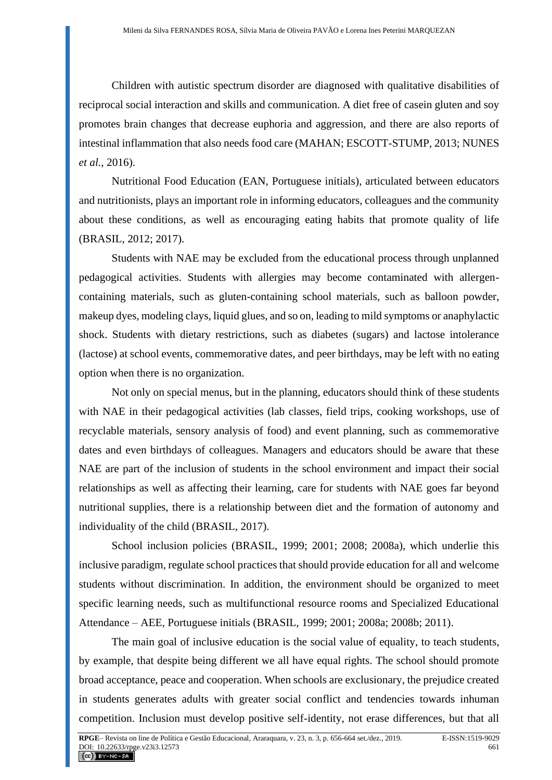Children with autistic spectrum disorder are diagnosed with qualitative disabilities of reciprocal social interaction and skills and communication. A diet free of casein gluten and soy promotes brain changes that decrease euphoria and aggression, and there are also reports of intestinal inflammation that also needs food care (MAHAN; ESCOTT-STUMP, 2013; NUNES *et al.*, 2016).

Nutritional Food Education (EAN, Portuguese initials), articulated between educators and nutritionists, plays an important role in informing educators, colleagues and the community about these conditions, as well as encouraging eating habits that promote quality of life (BRASIL, 2012; 2017).

Students with NAE may be excluded from the educational process through unplanned pedagogical activities. Students with allergies may become contaminated with allergencontaining materials, such as gluten-containing school materials, such as balloon powder, makeup dyes, modeling clays, liquid glues, and so on, leading to mild symptoms or anaphylactic shock. Students with dietary restrictions, such as diabetes (sugars) and lactose intolerance (lactose) at school events, commemorative dates, and peer birthdays, may be left with no eating option when there is no organization.

Not only on special menus, but in the planning, educators should think of these students with NAE in their pedagogical activities (lab classes, field trips, cooking workshops, use of recyclable materials, sensory analysis of food) and event planning, such as commemorative dates and even birthdays of colleagues. Managers and educators should be aware that these NAE are part of the inclusion of students in the school environment and impact their social relationships as well as affecting their learning, care for students with NAE goes far beyond nutritional supplies, there is a relationship between diet and the formation of autonomy and individuality of the child (BRASIL, 2017).

School inclusion policies (BRASIL, 1999; 2001; 2008; 2008a), which underlie this inclusive paradigm, regulate school practices that should provide education for all and welcome students without discrimination. In addition, the environment should be organized to meet specific learning needs, such as multifunctional resource rooms and Specialized Educational Attendance – AEE, Portuguese initials (BRASIL, 1999; 2001; 2008a; 2008b; 2011).

The main goal of inclusive education is the social value of equality, to teach students, by example, that despite being different we all have equal rights. The school should promote broad acceptance, peace and cooperation. When schools are exclusionary, the prejudice created in students generates adults with greater social conflict and tendencies towards inhuman competition. Inclusion must develop positive self-identity, not erase differences, but that all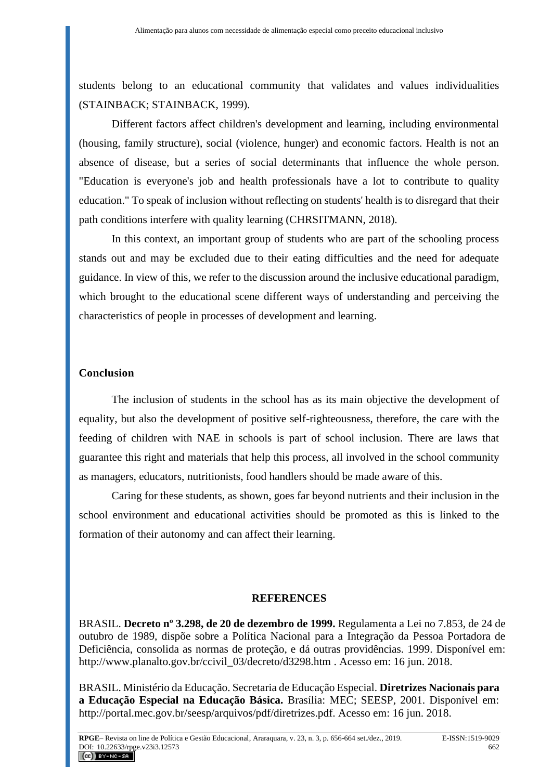students belong to an educational community that validates and values individualities (STAINBACK; STAINBACK, 1999).

Different factors affect children's development and learning, including environmental (housing, family structure), social (violence, hunger) and economic factors. Health is not an absence of disease, but a series of social determinants that influence the whole person. "Education is everyone's job and health professionals have a lot to contribute to quality education." To speak of inclusion without reflecting on students' health is to disregard that their path conditions interfere with quality learning (CHRSITMANN, 2018).

In this context, an important group of students who are part of the schooling process stands out and may be excluded due to their eating difficulties and the need for adequate guidance. In view of this, we refer to the discussion around the inclusive educational paradigm, which brought to the educational scene different ways of understanding and perceiving the characteristics of people in processes of development and learning.

### **Conclusion**

The inclusion of students in the school has as its main objective the development of equality, but also the development of positive self-righteousness, therefore, the care with the feeding of children with NAE in schools is part of school inclusion. There are laws that guarantee this right and materials that help this process, all involved in the school community as managers, educators, nutritionists, food handlers should be made aware of this.

Caring for these students, as shown, goes far beyond nutrients and their inclusion in the school environment and educational activities should be promoted as this is linked to the formation of their autonomy and can affect their learning.

#### **REFERENCES**

BRASIL. **Decreto nº 3.298, de 20 de dezembro de 1999.** Regulamenta a Lei no 7.853, de 24 de outubro de 1989, dispõe sobre a Política Nacional para a Integração da Pessoa Portadora de Deficiência, consolida as normas de proteção, e dá outras providências. 1999. Disponível em: [http://www.planalto.gov.br/ccivil\\_03/decreto/d3298.htm](http://www.planalto.gov.br/ccivil_03/decreto/d3298.htm) . Acesso em: 16 jun. 2018.

BRASIL. Ministério da Educação. Secretaria de Educação Especial. **Diretrizes Nacionais para a Educação Especial na Educação Básica.** Brasília: MEC; SEESP, 2001. Disponível em: http://portal.mec.gov.br/seesp/arquivos/pdf/diretrizes.pdf. Acesso em: 16 jun. 2018.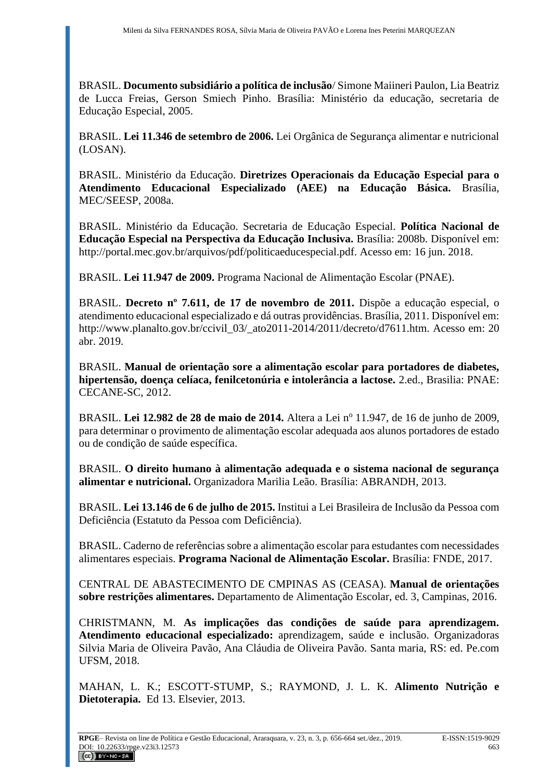BRASIL. **Documento subsidiário a política de inclusão**/ Simone Maiineri Paulon, Lia Beatriz de Lucca Freias, Gerson Smiech Pinho. Brasília: Ministério da educação, secretaria de Educação Especial, 2005.

BRASIL. **Lei 11.346 de setembro de 2006.** Lei Orgânica de Segurança alimentar e nutricional (LOSAN).

BRASIL. Ministério da Educação. **Diretrizes Operacionais da Educação Especial para o Atendimento Educacional Especializado (AEE) na Educação Básica.** Brasília, MEC/SEESP, 2008a.

BRASIL. Ministério da Educação. Secretaria de Educação Especial. **Política Nacional de Educação Especial na Perspectiva da Educação Inclusiva.** Brasília: 2008b. Disponível em: http://portal.mec.gov.br/arquivos/pdf/politicaeducespecial.pdf. Acesso em: 16 jun. 2018.

BRASIL. **Lei 11.947 de 2009.** Programa Nacional de Alimentação Escolar (PNAE).

BRASIL. **Decreto nº 7.611, de 17 de novembro de 2011.** Dispõe a educação especial, o atendimento educacional especializado e dá outras providências. Brasília, 2011. Disponível em: http://www.planalto.gov.br/ccivil\_03/\_ato2011-2014/2011/decreto/d7611.htm. Acesso em: 20 abr. 2019.

BRASIL. **Manual de orientação sore a alimentação escolar para portadores de diabetes, hipertensão, doença celíaca, fenilcetonúria e intolerância a lactose.** 2.ed., Brasilia: PNAE: CECANE-SC, 2012.

BRASIL. Lei 12.982 de 28 de maio de 2014. Altera a Lei nº 11.947, de 16 de junho de 2009, para determinar o provimento de alimentação escolar adequada aos alunos portadores de estado ou de condição de saúde específica.

BRASIL. **O direito humano à alimentação adequada e o sistema nacional de segurança alimentar e nutricional.** Organizadora Marilia Leão. Brasília: ABRANDH, 2013.

BRASIL. **Lei 13.146 de 6 de julho de 2015.** Institui a Lei Brasileira de Inclusão da Pessoa com Deficiência (Estatuto da Pessoa com Deficiência).

BRASIL. Caderno de referências sobre a alimentação escolar para estudantes com necessidades alimentares especiais. **Programa Nacional de Alimentação Escolar.** Brasília: FNDE, 2017.

CENTRAL DE ABASTECIMENTO DE CMPINAS AS (CEASA). **Manual de orientações sobre restrições alimentares.** Departamento de Alimentação Escolar, ed. 3, Campinas, 2016.

CHRISTMANN, M. **As implicações das condições de saúde para aprendizagem. Atendimento educacional especializado:** aprendizagem, saúde e inclusão. Organizadoras Silvia Maria de Oliveira Pavão, Ana Cláudia de Oliveira Pavão. Santa maria, RS: ed. Pe.com UFSM, 2018.

MAHAN, L. K.; ESCOTT-STUMP, S.; RAYMOND, J. L. K. **Alimento Nutrição e Dietoterapia.** Ed 13. Elsevier, 2013.